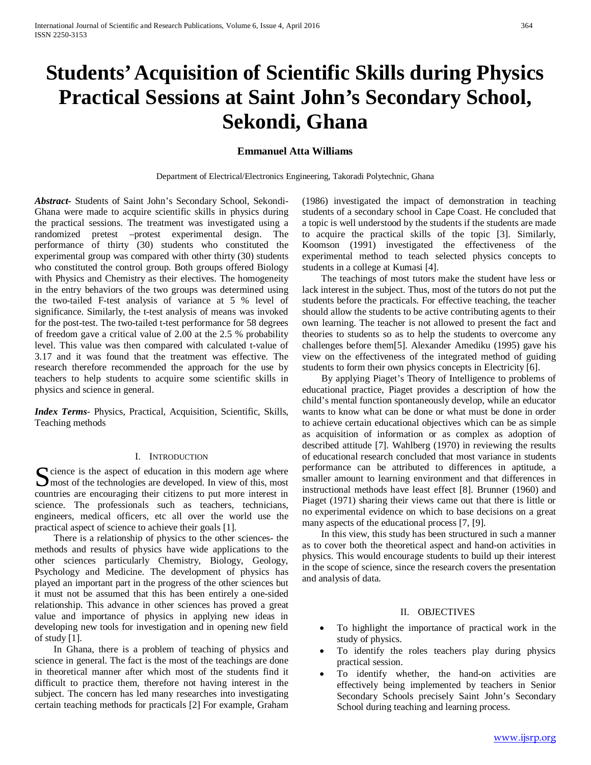# **Students' Acquisition of Scientific Skills during Physics Practical Sessions at Saint John's Secondary School, Sekondi, Ghana**

# **Emmanuel Atta Williams**

Department of Electrical/Electronics Engineering, Takoradi Polytechnic, Ghana

*Abstract***-** Students of Saint John's Secondary School, Sekondi-Ghana were made to acquire scientific skills in physics during the practical sessions. The treatment was investigated using a randomized pretest –protest experimental design. The performance of thirty (30) students who constituted the experimental group was compared with other thirty (30) students who constituted the control group. Both groups offered Biology with Physics and Chemistry as their electives. The homogeneity in the entry behaviors of the two groups was determined using the two-tailed F-test analysis of variance at 5 % level of significance. Similarly, the t-test analysis of means was invoked for the post-test. The two-tailed t-test performance for 58 degrees of freedom gave a critical value of 2.00 at the 2.5 % probability level. This value was then compared with calculated t-value of 3.17 and it was found that the treatment was effective. The research therefore recommended the approach for the use by teachers to help students to acquire some scientific skills in physics and science in general.

*Index Terms*- Physics, Practical, Acquisition, Scientific, Skills, Teaching methods

## I. INTRODUCTION

 $\Gamma$  cience is the aspect of education in this modern age where Socience is the aspect of education in this modern age where<br>
Society of the technologies are developed. In view of this, most countries are encouraging their citizens to put more interest in science. The professionals such as teachers, technicians, engineers, medical officers, etc all over the world use the practical aspect of science to achieve their goals [1].

 There is a relationship of physics to the other sciences- the methods and results of physics have wide applications to the other sciences particularly Chemistry, Biology, Geology, Psychology and Medicine. The development of physics has played an important part in the progress of the other sciences but it must not be assumed that this has been entirely a one-sided relationship. This advance in other sciences has proved a great value and importance of physics in applying new ideas in developing new tools for investigation and in opening new field of study [1].

 In Ghana, there is a problem of teaching of physics and science in general. The fact is the most of the teachings are done in theoretical manner after which most of the students find it difficult to practice them, therefore not having interest in the subject. The concern has led many researches into investigating certain teaching methods for practicals [2] For example, Graham (1986) investigated the impact of demonstration in teaching students of a secondary school in Cape Coast. He concluded that a topic is well understood by the students if the students are made to acquire the practical skills of the topic [3]. Similarly, Koomson (1991) investigated the effectiveness of the experimental method to teach selected physics concepts to students in a college at Kumasi [4].

 The teachings of most tutors make the student have less or lack interest in the subject. Thus, most of the tutors do not put the students before the practicals. For effective teaching, the teacher should allow the students to be active contributing agents to their own learning. The teacher is not allowed to present the fact and theories to students so as to help the students to overcome any challenges before them[5]. Alexander Amediku (1995) gave his view on the effectiveness of the integrated method of guiding students to form their own physics concepts in Electricity [6].

 By applying Piaget's Theory of Intelligence to problems of educational practice, Piaget provides a description of how the child's mental function spontaneously develop, while an educator wants to know what can be done or what must be done in order to achieve certain educational objectives which can be as simple as acquisition of information or as complex as adoption of described attitude [7]. Wahlberg (1970) in reviewing the results of educational research concluded that most variance in students performance can be attributed to differences in aptitude, a smaller amount to learning environment and that differences in instructional methods have least effect [8]. Brunner (1960) and Piaget (1971) sharing their views came out that there is little or no experimental evidence on which to base decisions on a great many aspects of the educational process [7, [9].

 In this view, this study has been structured in such a manner as to cover both the theoretical aspect and hand-on activities in physics. This would encourage students to build up their interest in the scope of science, since the research covers the presentation and analysis of data.

#### II. OBJECTIVES

- To highlight the importance of practical work in the study of physics.
- To identify the roles teachers play during physics practical session.
- To identify whether, the hand-on activities are effectively being implemented by teachers in Senior Secondary Schools precisely Saint John's Secondary School during teaching and learning process.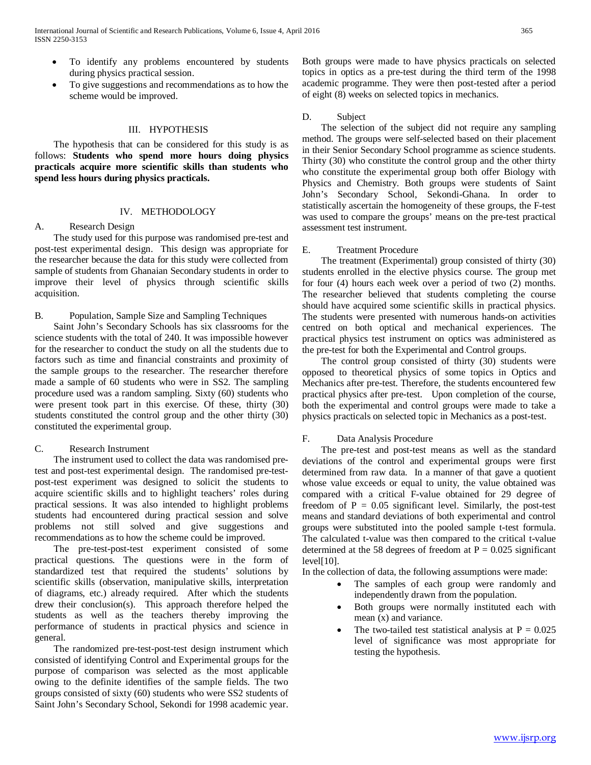- To identify any problems encountered by students during physics practical session.
- To give suggestions and recommendations as to how the scheme would be improved.

# III. HYPOTHESIS

 The hypothesis that can be considered for this study is as follows: **Students who spend more hours doing physics practicals acquire more scientific skills than students who spend less hours during physics practicals.**

#### IV. METHODOLOGY

## A. Research Design

 The study used for this purpose was randomised pre-test and post-test experimental design. This design was appropriate for the researcher because the data for this study were collected from sample of students from Ghanaian Secondary students in order to improve their level of physics through scientific skills acquisition.

## B. Population, Sample Size and Sampling Techniques

 Saint John's Secondary Schools has six classrooms for the science students with the total of 240. It was impossible however for the researcher to conduct the study on all the students due to factors such as time and financial constraints and proximity of the sample groups to the researcher. The researcher therefore made a sample of 60 students who were in SS2. The sampling procedure used was a random sampling. Sixty (60) students who were present took part in this exercise. Of these, thirty (30) students constituted the control group and the other thirty (30) constituted the experimental group.

#### C. Research Instrument

 The instrument used to collect the data was randomised pretest and post-test experimental design. The randomised pre-testpost-test experiment was designed to solicit the students to acquire scientific skills and to highlight teachers' roles during practical sessions. It was also intended to highlight problems students had encountered during practical session and solve problems not still solved and give suggestions and recommendations as to how the scheme could be improved.

 The pre-test-post-test experiment consisted of some practical questions. The questions were in the form of standardized test that required the students' solutions by scientific skills (observation, manipulative skills, interpretation of diagrams, etc.) already required. After which the students drew their conclusion(s). This approach therefore helped the students as well as the teachers thereby improving the performance of students in practical physics and science in general.

 The randomized pre-test-post-test design instrument which consisted of identifying Control and Experimental groups for the purpose of comparison was selected as the most applicable owing to the definite identifies of the sample fields. The two groups consisted of sixty (60) students who were SS2 students of Saint John's Secondary School, Sekondi for 1998 academic year. Both groups were made to have physics practicals on selected topics in optics as a pre-test during the third term of the 1998 academic programme. They were then post-tested after a period of eight (8) weeks on selected topics in mechanics.

#### D. Subject

 The selection of the subject did not require any sampling method. The groups were self-selected based on their placement in their Senior Secondary School programme as science students. Thirty (30) who constitute the control group and the other thirty who constitute the experimental group both offer Biology with Physics and Chemistry. Both groups were students of Saint John's Secondary School, Sekondi-Ghana. In order to statistically ascertain the homogeneity of these groups, the F-test was used to compare the groups' means on the pre-test practical assessment test instrument.

# E. Treatment Procedure

 The treatment (Experimental) group consisted of thirty (30) students enrolled in the elective physics course. The group met for four (4) hours each week over a period of two (2) months. The researcher believed that students completing the course should have acquired some scientific skills in practical physics. The students were presented with numerous hands-on activities centred on both optical and mechanical experiences. The practical physics test instrument on optics was administered as the pre-test for both the Experimental and Control groups.

 The control group consisted of thirty (30) students were opposed to theoretical physics of some topics in Optics and Mechanics after pre-test. Therefore, the students encountered few practical physics after pre-test. Upon completion of the course, both the experimental and control groups were made to take a physics practicals on selected topic in Mechanics as a post-test.

# F. Data Analysis Procedure

 The pre-test and post-test means as well as the standard deviations of the control and experimental groups were first determined from raw data. In a manner of that gave a quotient whose value exceeds or equal to unity, the value obtained was compared with a critical F-value obtained for 29 degree of freedom of  $P = 0.05$  significant level. Similarly, the post-test means and standard deviations of both experimental and control groups were substituted into the pooled sample t-test formula. The calculated t-value was then compared to the critical t-value determined at the 58 degrees of freedom at  $P = 0.025$  significant  $level[10]$ .

In the collection of data, the following assumptions were made:

- The samples of each group were randomly and independently drawn from the population.
- Both groups were normally instituted each with mean (x) and variance.
- The two-tailed test statistical analysis at  $P = 0.025$ level of significance was most appropriate for testing the hypothesis.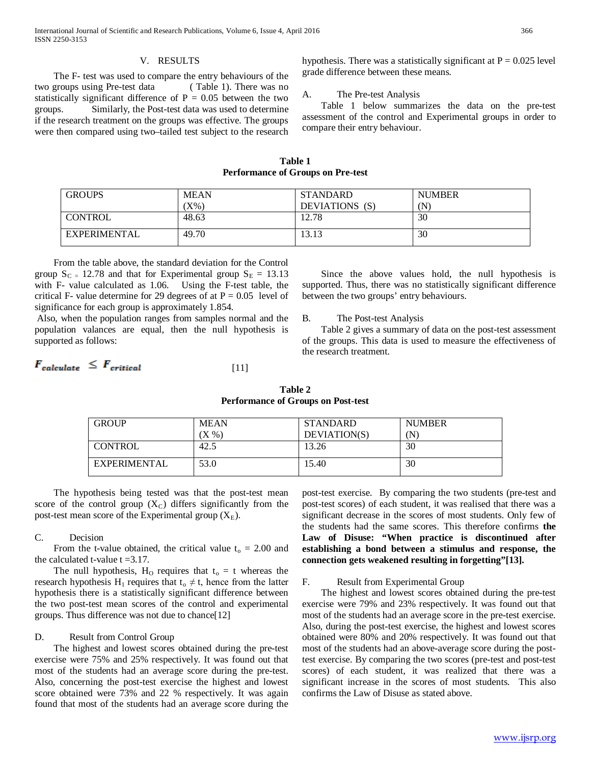# V. RESULTS

 The F- test was used to compare the entry behaviours of the two groups using Pre-test data ( Table 1). There was no statistically significant difference of  $P = 0.05$  between the two groups. Similarly, the Post-test data was used to determine if the research treatment on the groups was effective. The groups were then compared using two–tailed test subject to the research hypothesis. There was a statistically significant at  $P = 0.025$  level grade difference between these means.

#### A. The Pre-test Analysis

 Table 1 below summarizes the data on the pre-test assessment of the control and Experimental groups in order to compare their entry behaviour.

#### **Table 1 Performance of Groups on Pre-test**

| <b>GROUPS</b>       | <b>MEAN</b> | <b>STANDARD</b> | <b>NUMBER</b> |
|---------------------|-------------|-----------------|---------------|
|                     | $X\%$       | DEVIATIONS (S)  | (N)           |
| <b>CONTROL</b>      | 48.63       | 12.78           | 30            |
| <b>EXPERIMENTAL</b> | 49.70       | 13.13           | 30            |

# From the table above, the standard deviation for the Control group  $S_{C} = 12.78$  and that for Experimental group  $S_{E} = 13.13$ with F- value calculated as 1.06. Using the F-test table, the critical F- value determine for 29 degrees of at  $P = 0.05$  level of significance for each group is approximately 1.854.

Also, when the population ranges from samples normal and the population valances are equal, then the null hypothesis is supported as follows:

#### $F_{\text{calculated}} \leq F_{\text{critical}}$ [11]

 Since the above values hold, the null hypothesis is supported. Thus, there was no statistically significant difference between the two groups' entry behaviours.

#### B. The Post-test Analysis

 Table 2 gives a summary of data on the post-test assessment of the groups. This data is used to measure the effectiveness of the research treatment.

| Table 2                                   |  |  |  |  |
|-------------------------------------------|--|--|--|--|
| <b>Performance of Groups on Post-test</b> |  |  |  |  |
|                                           |  |  |  |  |

| <b>GROUP</b> | <b>MEAN</b>              | <b>STANDARD</b> | <b>NUMBER</b> |
|--------------|--------------------------|-----------------|---------------|
|              | $\mathbf{X} \mathcal{C}$ | DEVIATION(S)    | (N            |
| CONTROL      | 42.5                     | 13.26           | 30            |
| EXPERIMENTAL | 53.0                     | 15.40           | 30            |

 The hypothesis being tested was that the post-test mean score of the control group  $(X_C)$  differs significantly from the post-test mean score of the Experimental group  $(X_E)$ .

### C. Decision

From the t-value obtained, the critical value  $t_0 = 2.00$  and the calculated t-value  $t = 3.17$ .

The null hypothesis,  $H_0$  requires that  $t_0 = t$  whereas the research hypothesis H<sub>1</sub> requires that  $t_0 \neq t$ , hence from the latter hypothesis there is a statistically significant difference between the two post-test mean scores of the control and experimental groups. Thus difference was not due to chance[12]

# D. Result from Control Group

 The highest and lowest scores obtained during the pre-test exercise were 75% and 25% respectively. It was found out that most of the students had an average score during the pre-test. Also, concerning the post-test exercise the highest and lowest score obtained were 73% and 22 % respectively. It was again found that most of the students had an average score during the

post-test exercise. By comparing the two students (pre-test and post-test scores) of each student, it was realised that there was a significant decrease in the scores of most students. Only few of the students had the same scores. This therefore confirms **the Law of Disuse: "When practice is discontinued after establishing a bond between a stimulus and response, the connection gets weakened resulting in forgetting"[13].**

#### F. Result from Experimental Group

 The highest and lowest scores obtained during the pre-test exercise were 79% and 23% respectively. It was found out that most of the students had an average score in the pre-test exercise. Also, during the post-test exercise, the highest and lowest scores obtained were 80% and 20% respectively. It was found out that most of the students had an above-average score during the posttest exercise. By comparing the two scores (pre-test and post-test scores) of each student, it was realized that there was a significant increase in the scores of most students. This also confirms the Law of Disuse as stated above.